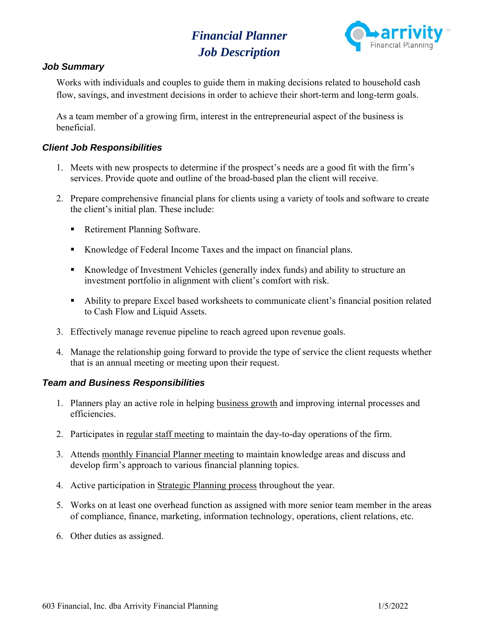# *Financial Planner Job Description*



# *Job Summary*

Works with individuals and couples to guide them in making decisions related to household cash flow, savings, and investment decisions in order to achieve their short-term and long-term goals.

As a team member of a growing firm, interest in the entrepreneurial aspect of the business is beneficial.

### *Client Job Responsibilities*

- 1. Meets with new prospects to determine if the prospect's needs are a good fit with the firm's services. Provide quote and outline of the broad-based plan the client will receive.
- 2. Prepare comprehensive financial plans for clients using a variety of tools and software to create the client's initial plan. These include:
	- Retirement Planning Software.
	- Knowledge of Federal Income Taxes and the impact on financial plans.
	- Knowledge of Investment Vehicles (generally index funds) and ability to structure an investment portfolio in alignment with client's comfort with risk.
	- Ability to prepare Excel based worksheets to communicate client's financial position related to Cash Flow and Liquid Assets.
- 3. Effectively manage revenue pipeline to reach agreed upon revenue goals.
- 4. Manage the relationship going forward to provide the type of service the client requests whether that is an annual meeting or meeting upon their request.

# *Team and Business Responsibilities*

- 1. Planners play an active role in helping business growth and improving internal processes and efficiencies.
- 2. Participates in regular staff meeting to maintain the day-to-day operations of the firm.
- 3. Attends monthly Financial Planner meeting to maintain knowledge areas and discuss and develop firm's approach to various financial planning topics.
- 4. Active participation in Strategic Planning process throughout the year.
- 5. Works on at least one overhead function as assigned with more senior team member in the areas of compliance, finance, marketing, information technology, operations, client relations, etc.
- 6. Other duties as assigned.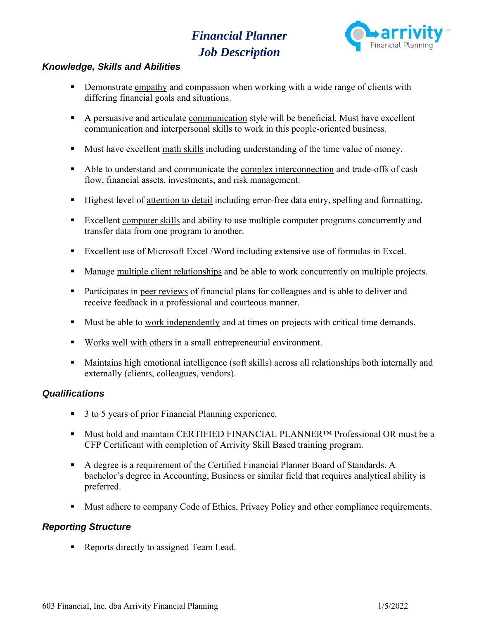# *Financial Planner Job Description*



# *Knowledge, Skills and Abilities*

- Demonstrate empathy and compassion when working with a wide range of clients with differing financial goals and situations.
- A persuasive and articulate communication style will be beneficial. Must have excellent communication and interpersonal skills to work in this people-oriented business.
- Must have excellent math skills including understanding of the time value of money.
- Able to understand and communicate the complex interconnection and trade-offs of cash flow, financial assets, investments, and risk management.
- Highest level of attention to detail including error-free data entry, spelling and formatting.
- Excellent computer skills and ability to use multiple computer programs concurrently and transfer data from one program to another.
- Excellent use of Microsoft Excel /Word including extensive use of formulas in Excel.
- Manage multiple client relationships and be able to work concurrently on multiple projects.
- Participates in peer reviews of financial plans for colleagues and is able to deliver and receive feedback in a professional and courteous manner.
- Must be able to work independently and at times on projects with critical time demands.
- Works well with others in a small entrepreneurial environment.
- Maintains high emotional intelligence (soft skills) across all relationships both internally and externally (clients, colleagues, vendors).

# *Qualifications*

- 3 to 5 years of prior Financial Planning experience.
- Must hold and maintain CERTIFIED FINANCIAL PLANNER<sup>™</sup> Professional OR must be a CFP Certificant with completion of Arrivity Skill Based training program.
- A degree is a requirement of the Certified Financial Planner Board of Standards. A bachelor's degree in Accounting, Business or similar field that requires analytical ability is preferred.
- Must adhere to company Code of Ethics, Privacy Policy and other compliance requirements.

# *Reporting Structure*

Reports directly to assigned Team Lead.